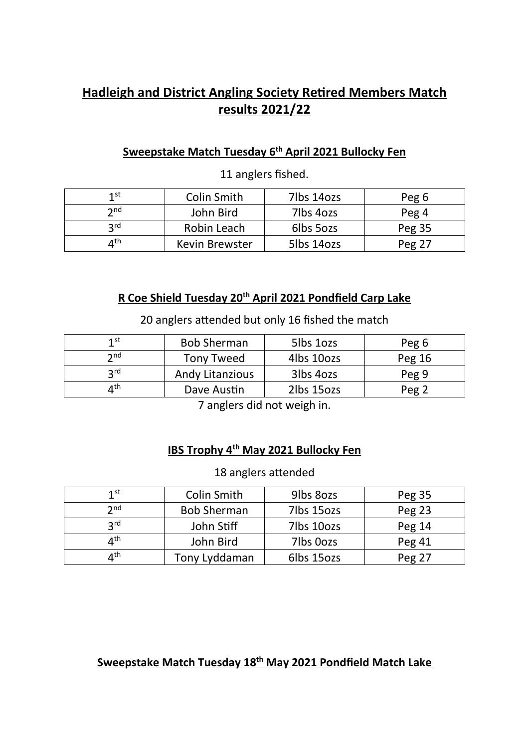# Hadleigh and District Angling Society Retired Members Match results 2021/22

## Sweepstake Match Tuesday 6<sup>th</sup> April 2021 Bullocky Fen

| 1 st              | Colin Smith    | 7lbs 14ozs | Peg 6  |
|-------------------|----------------|------------|--------|
| $\mathbf{\Omega}$ | John Bird      | 7lbs 4ozs  | Peg 4  |
| 2 <sub>rd</sub>   | Robin Leach    | 6lbs 5ozs  | Peg 35 |
| ⊿ <sup>th</sup>   | Kevin Brewster | 5lbs 14ozs | Peg 27 |

11 anglers fished.

#### R Coe Shield Tuesday 20<sup>th</sup> April 2021 Pondfield Carp Lake

20 anglers attended but only 16 fished the match

| 1 st                           | <b>Bob Sherman</b>     | 5lbs 1ozs  | Peg 6            |
|--------------------------------|------------------------|------------|------------------|
| $\mathbf{\Im}$ nd              | <b>Tony Tweed</b>      | 4lbs 10ozs | Peg 16           |
| 2rd                            | <b>Andy Litanzious</b> | 3lbs 4ozs  | Peg 9            |
| $\mathbf{\Lambda}^{\text{th}}$ | Dave Austin            | 2lbs 15ozs | Peg <sub>2</sub> |

7 anglers did not weigh in.

#### IBS Trophy 4<sup>th</sup> May 2021 Bullocky Fen

#### 18 anglers attended

| 1st             | Colin Smith        | 9lbs 80zs  | Peg 35 |
|-----------------|--------------------|------------|--------|
| $\mathsf{p}$ nd | <b>Bob Sherman</b> | 7lbs 15ozs | Peg 23 |
| <b>2rd</b>      | John Stiff         | 7lbs 10ozs | Peg 14 |
| ⊿th             | John Bird          | 7lbs 0ozs  | Peg 41 |
| ⊿th             | Tony Lyddaman      | 6lbs 15ozs | Peg 27 |

### Sweepstake Match Tuesday 18<sup>th</sup> May 2021 Pondfield Match Lake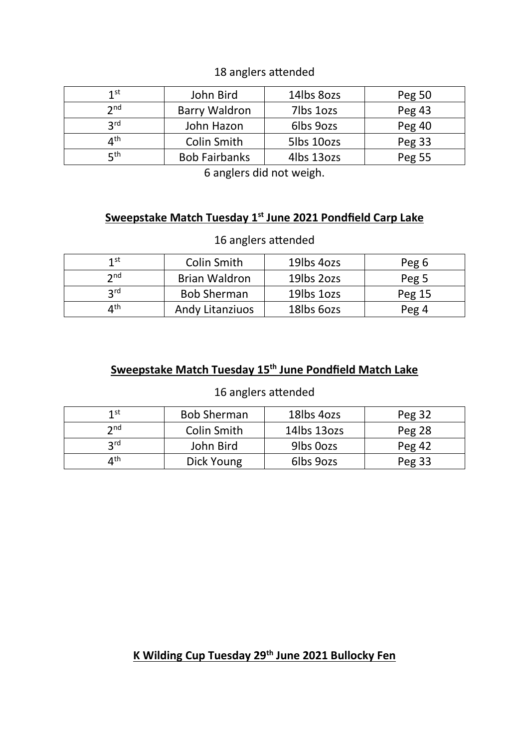#### 18 anglers attended

| 1st                     | John Bird            | 14lbs 80zs | Peg 50 |
|-------------------------|----------------------|------------|--------|
| 2 <sub>nd</sub>         | <b>Barry Waldron</b> | 7lbs 1ozs  | Peg 43 |
| <b>2rd</b>              | John Hazon           | 6lbs 9ozs  | Peg 40 |
| $\varDelta^{\text{th}}$ | Colin Smith          | 5lbs 10ozs | Peg 33 |
| ςth                     | <b>Bob Fairbanks</b> | 4lbs 13ozs | Peg 55 |

6 anglers did not weigh.

#### Sweepstake Match Tuesday 1<sup>st</sup> June 2021 Pondfield Carp Lake

#### 16 anglers attended

| 1st                      | Colin Smith            | 19lbs 4ozs | Peg 6  |
|--------------------------|------------------------|------------|--------|
| $\mathbf{\Im}$ nd        | <b>Brian Waldron</b>   | 19lbs 20zs | Peg 5  |
| <b>2rd</b>               | <b>Bob Sherman</b>     | 19lbs 1ozs | Peg 15 |
| $\varLambda^{\text{th}}$ | <b>Andy Litanziuos</b> | 18lbs 60zs | Peg 4  |

### Sweepstake Match Tuesday 15<sup>th</sup> June Pondfield Match Lake

#### 16 anglers attended

| 1 st              | <b>Bob Sherman</b> | 18lbs 4ozs  | Peg 32   |
|-------------------|--------------------|-------------|----------|
| $\mathbf{\Omega}$ | Colin Smith        | 14lbs 13ozs | Peg 28   |
| 2rd               | John Bird          | 9lbs 0ozs   | Peg $42$ |
| ⊿th               | Dick Young         | 6lbs 9ozs   | Peg 33   |

### K Wilding Cup Tuesday 29<sup>th</sup> June 2021 Bullocky Fen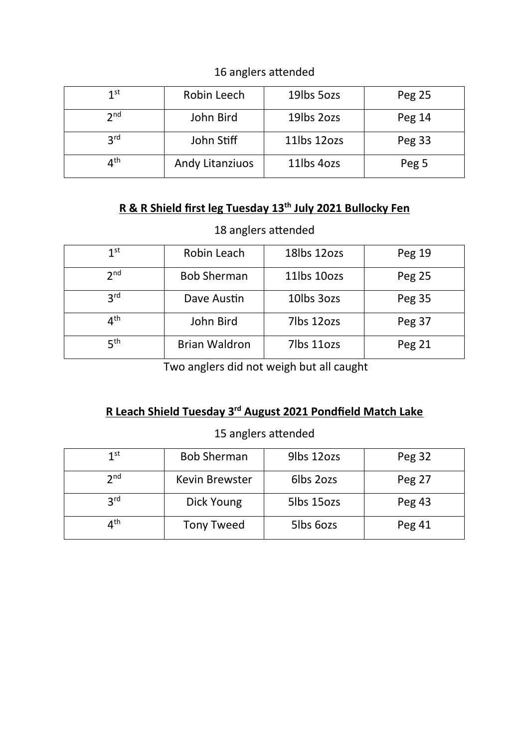### 16 anglers attended

| 1st             | Robin Leech     | 19lbs 5ozs  | Peg 25 |
|-----------------|-----------------|-------------|--------|
| 2 <sub>nd</sub> | John Bird       | 19lbs 20zs  | Peg 14 |
| 3 <sup>rd</sup> | John Stiff      | 11lbs 12ozs | Peg 33 |
| ⊿th             | Andy Litanziuos | 11lbs 4ozs  | Peg 5  |

### R & R Shield first leg Tuesday 13<sup>th</sup> July 2021 Bullocky Fen

# 18 anglers attended

| 1 <sup>st</sup> | Robin Leach          | 18lbs 12ozs | Peg 19 |
|-----------------|----------------------|-------------|--------|
| 2 <sub>nd</sub> | <b>Bob Sherman</b>   | 11lbs 10ozs | Peg 25 |
| 3 <sup>rd</sup> | Dave Austin          | 10lbs 30zs  | Peg 35 |
| ⊿th             | John Bird            | 7lbs 12ozs  | Peg 37 |
| 5 <sup>th</sup> | <b>Brian Waldron</b> | 7lbs 11ozs  | Peg 21 |

Two anglers did not weigh but all caught

### R Leach Shield Tuesday 3<sup>rd</sup> August 2021 Pondfield Match Lake

### 15 anglers attended

| 1st             | <b>Bob Sherman</b> | 9lbs 12ozs | Peg 32 |
|-----------------|--------------------|------------|--------|
| 2 <sub>nd</sub> | Kevin Brewster     | 6lbs 20zs  | Peg 27 |
| <b>2rd</b>      | Dick Young         | 5lbs 15ozs | Peg 43 |
| ∕∕up            | <b>Tony Tweed</b>  | 5lbs 6ozs  | Peg 41 |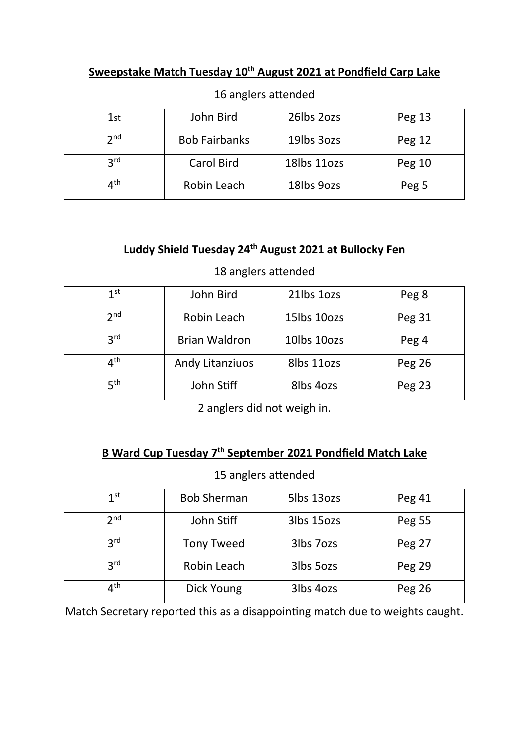### Sweepstake Match Tuesday 10<sup>th</sup> August 2021 at Pondfield Carp Lake

| 1st             | John Bird            | 26lbs 20zs  | Peg 13 |
|-----------------|----------------------|-------------|--------|
| 2 <sub>nd</sub> | <b>Bob Fairbanks</b> | 19lbs 30zs  | Peg 12 |
| 3 <sup>rd</sup> | Carol Bird           | 18lbs 11ozs | Peg 10 |
| ⊿th             | Robin Leach          | 18lbs 9ozs  | Peg 5  |

### 16 anglers attended

### Luddy Shield Tuesday 24<sup>th</sup> August 2021 at Bullocky Fen

| 1 <sup>st</sup>                | John Bird              | 21lbs 1ozs  | Peg 8         |
|--------------------------------|------------------------|-------------|---------------|
| 2 <sub>nd</sub>                | Robin Leach            | 15lbs 10ozs | Peg 31        |
| 2 <sup>rd</sup>                | <b>Brian Waldron</b>   | 10lbs 10ozs | Peg 4         |
| $\mathbf{\Lambda}^{\text{th}}$ | <b>Andy Litanziuos</b> | 8lbs 11ozs  | Peg 26        |
| 5 <sup>th</sup>                | John Stiff             | 8lbs 4ozs   | <b>Peg 23</b> |

#### 18 anglers attended

2 anglers did not weigh in.

### B Ward Cup Tuesday 7<sup>th</sup> September 2021 Pondfield Match Lake

#### 15 anglers attended

| 1 <sup>st</sup> | <b>Bob Sherman</b> | 5lbs 13ozs | Peg 41        |
|-----------------|--------------------|------------|---------------|
| 2 <sub>nd</sub> | John Stiff         | 3lbs 15ozs | Peg 55        |
| 3 <sup>rd</sup> | <b>Tony Tweed</b>  | 3lbs 7ozs  | <b>Peg 27</b> |
| 3 <sup>rd</sup> | Robin Leach        | 3lbs 5ozs  | Peg 29        |
| ∕∕lth           | Dick Young         | 3lbs 4ozs  | Peg 26        |

Match Secretary reported this as a disappointing match due to weights caught.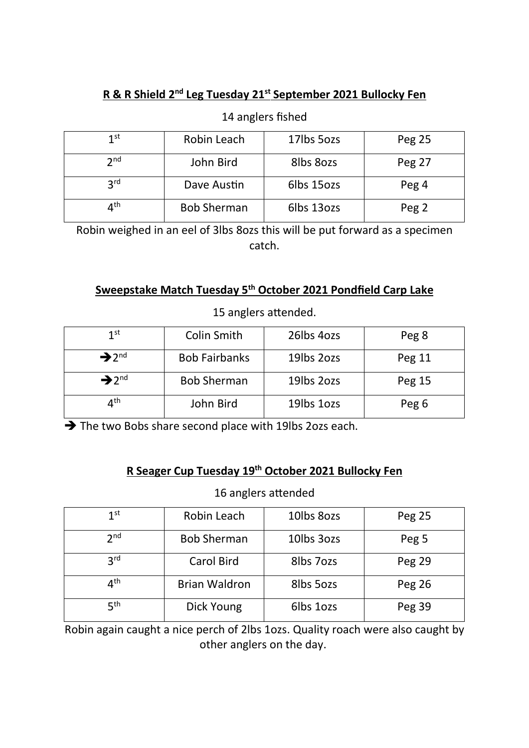### R & R Shield 2<sup>nd</sup> Leg Tuesday 21<sup>st</sup> September 2021 Bullocky Fen

### 14 anglers fished

| 1st             | Robin Leach        | 17lbs 5ozs | Peg 25 |
|-----------------|--------------------|------------|--------|
| 2 <sub>nd</sub> | John Bird          | 8lbs 80zs  | Peg 27 |
| 3 <sup>rd</sup> | Dave Austin        | 6lbs 15ozs | Peg 4  |
| ⊿th             | <b>Bob Sherman</b> | 6lbs 13ozs | Peg 2  |

Robin weighed in an eel of 3lbs 8ozs this will be put forward as a specimen catch.

#### Sweepstake Match Tuesday 5<sup>th</sup> October 2021 Pondfield Carp Lake

| 1 <sup>st</sup>               | Colin Smith          | 26lbs 4ozs | Peg 8            |
|-------------------------------|----------------------|------------|------------------|
| $\rightarrow$ 2 <sup>nd</sup> | <b>Bob Fairbanks</b> | 19lbs 20zs | Peg 11           |
| $\rightarrow$ 2 <sup>nd</sup> | <b>Bob Sherman</b>   | 19lbs 20zs | Peg 15           |
| $4^{\text{th}}$               | John Bird            | 19lbs 10zs | Peg <sub>6</sub> |

15 anglers attended.

 $\rightarrow$  The two Bobs share second place with 19lbs 2ozs each.

#### R Seager Cup Tuesday 19<sup>th</sup> October 2021 Bullocky Fen

#### 16 anglers attended

| 1 <sup>st</sup> | Robin Leach          | 10lbs 80zs | Peg 25 |
|-----------------|----------------------|------------|--------|
| 2 <sub>nd</sub> | <b>Bob Sherman</b>   | 10lbs 3ozs | Peg 5  |
| 3 <sup>rd</sup> | Carol Bird           | 8lbs 7ozs  | Peg 29 |
| ⊿th             | <b>Brian Waldron</b> | 8lbs 5ozs  | Peg 26 |
| 5 <sup>th</sup> | Dick Young           | 6lbs 10zs  | Peg 39 |

Robin again caught a nice perch of 2lbs 1ozs. Quality roach were also caught by other anglers on the day.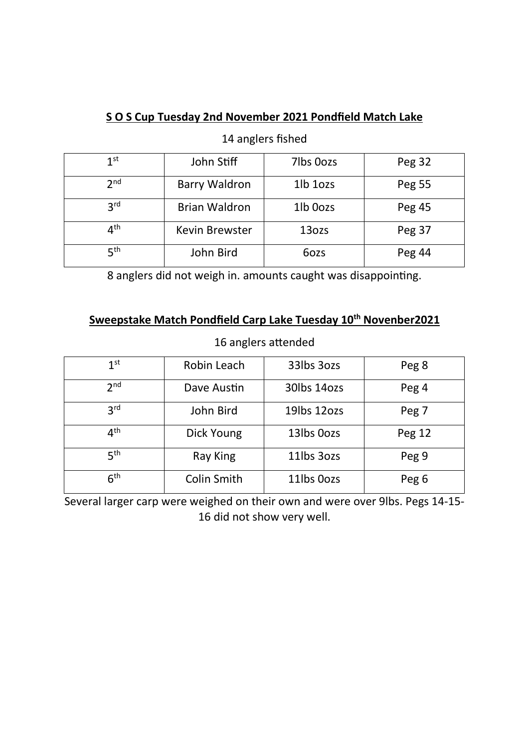# S O S Cup Tuesday 2nd November 2021 Pondfield Match Lake

#### 14 anglers fished

| 1 <sup>st</sup> | John Stiff            | 7lbs 0ozs | Peg 32 |
|-----------------|-----------------------|-----------|--------|
| 2 <sub>nd</sub> | <b>Barry Waldron</b>  | 1lb 1ozs  | Peg 55 |
| 3 <sub>rd</sub> | <b>Brian Waldron</b>  | 1lb Oozs  | Peg 45 |
| 4 <sup>th</sup> | <b>Kevin Brewster</b> | 13ozs     | Peg 37 |
| 5 <sup>th</sup> | John Bird             | 6ozs      | Peg 44 |

8 anglers did not weigh in. amounts caught was disappointing.

### Sweepstake Match Pondfield Carp Lake Tuesday 10<sup>th</sup> Novenber2021

#### 16 anglers attended

| 1 <sup>st</sup> | Robin Leach | 33lbs 3ozs  | Peg 8  |
|-----------------|-------------|-------------|--------|
| 2 <sub>nd</sub> | Dave Austin | 30lbs 14ozs | Peg 4  |
| 3 <sup>rd</sup> | John Bird   | 19lbs 12ozs | Peg 7  |
| $4^{\text{th}}$ | Dick Young  | 13lbs 0ozs  | Peg 12 |
| 5 <sup>th</sup> | Ray King    | 11lbs 30zs  | Peg 9  |
| 6 <sup>th</sup> | Colin Smith | 11lbs Oozs  | Peg 6  |

Several larger carp were weighed on their own and were over 9lbs. Pegs 14-15- 16 did not show very well.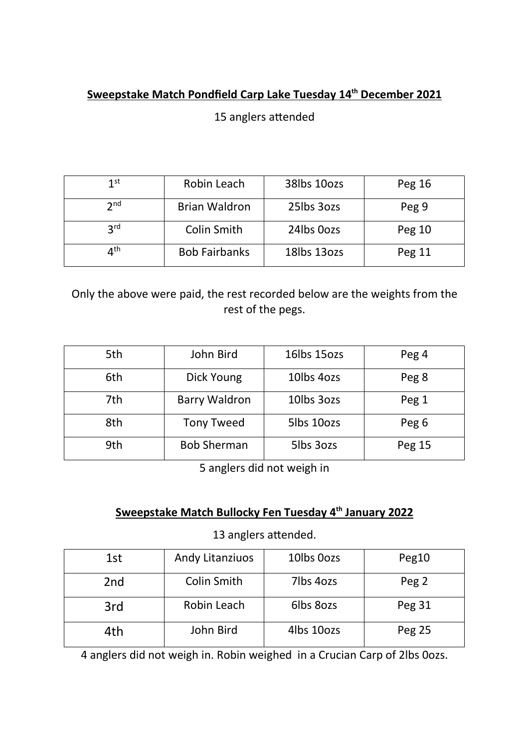# Sweepstake Match Pondfield Carp Lake Tuesday 14<sup>th</sup> December 2021

15 anglers attended

| 1st             | Robin Leach          | 38lbs 10ozs | Peg 16 |
|-----------------|----------------------|-------------|--------|
| 2 <sub>nd</sub> | <b>Brian Waldron</b> | 25lbs 3ozs  | Peg 9  |
| 3 <sup>rd</sup> | Colin Smith          | 24lbs Oozs  | Peg 10 |
| ⊿th             | <b>Bob Fairbanks</b> | 18lbs 13ozs | Peg 11 |

Only the above were paid, the rest recorded below are the weights from the rest of the pegs.

| 5th | John Bird            | 16lbs 15ozs             | Peg 4  |
|-----|----------------------|-------------------------|--------|
| 6th | Dick Young           | 10 <sub>l</sub> bs 40zs | Peg 8  |
| 7th | <b>Barry Waldron</b> | 10lbs 30zs              | Peg 1  |
| 8th | <b>Tony Tweed</b>    | 5lbs 10ozs              | Peg 6  |
| 9th | <b>Bob Sherman</b>   | 5lbs 3ozs               | Peg 15 |

5 anglers did not weigh in

### Sweepstake Match Bullocky Fen Tuesday 4<sup>th</sup> January 2022

13 anglers attended.

| 1st             | <b>Andy Litanziuos</b> | 10lbs 0ozs | Peg10  |
|-----------------|------------------------|------------|--------|
| 2 <sub>nd</sub> | Colin Smith            | 7lbs 4ozs  | Peg 2  |
| 3rd             | Robin Leach            | 6lbs 80zs  | Peg 31 |
| 4th             | John Bird              | 4lbs 10ozs | Peg 25 |

4 anglers did not weigh in. Robin weighed in a Crucian Carp of 2lbs 0ozs.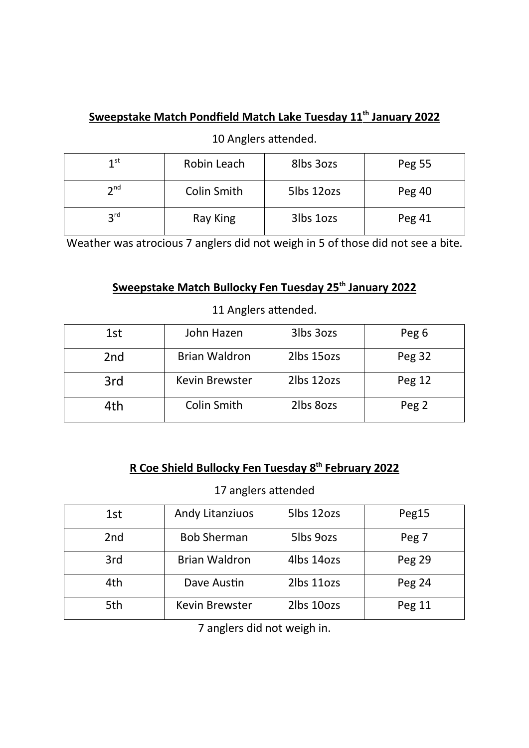# Sweepstake Match Pondfield Match Lake Tuesday 11<sup>th</sup> January 2022

10 Anglers attended.

| 1 <sup>st</sup> | Robin Leach | 8lbs 3ozs  | Peg 55 |
|-----------------|-------------|------------|--------|
| $\mathbf{a}$ nd | Colin Smith | 5lbs 12ozs | Peg 40 |
| 2 <sup>rd</sup> | Ray King    | 3lbs 1ozs  | Peg 41 |

Weather was atrocious 7 anglers did not weigh in 5 of those did not see a bite.

### Sweepstake Match Bullocky Fen Tuesday 25<sup>th</sup> January 2022

| 1st             | John Hazen            | 3lbs 30zs              | Peg 6            |
|-----------------|-----------------------|------------------------|------------------|
| 2 <sub>nd</sub> | <b>Brian Waldron</b>  | 2lbs 15ozs             | Peg 32           |
| 3rd             | <b>Kevin Brewster</b> | 2lbs 12ozs             | Peg 12           |
| 4th             | Colin Smith           | 2 <sub>l</sub> bs 80zs | Peg <sub>2</sub> |

11 Anglers attended.

### R Coe Shield Bullocky Fen Tuesday 8<sup>th</sup> February 2022

#### 17 anglers attended

| 1st             | <b>Andy Litanziuos</b> | 5lbs 12ozs | Peg15         |
|-----------------|------------------------|------------|---------------|
| 2 <sub>nd</sub> | <b>Bob Sherman</b>     | 5lbs 9ozs  | Peg 7         |
|                 |                        |            |               |
| 3rd             | <b>Brian Waldron</b>   | 4lbs 14ozs | <b>Peg 29</b> |
| 4th             | Dave Austin            | 2lbs 11ozs | <b>Peg 24</b> |
| 5th             | <b>Kevin Brewster</b>  | 2lbs 10ozs | Peg 11        |

7 anglers did not weigh in.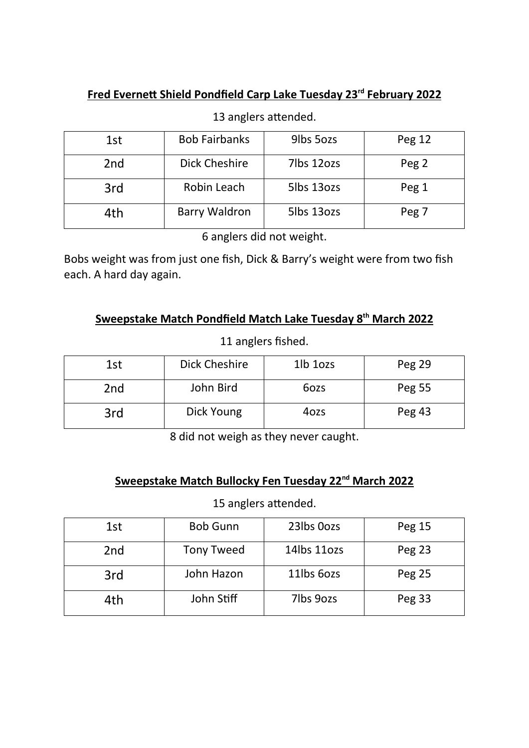### Fred Evernett Shield Pondfield Carp Lake Tuesday 23<sup>rd</sup> February 2022

# 13 anglers attended.

| 1st             | <b>Bob Fairbanks</b> | 9lbs 5ozs  | Peg 12 |
|-----------------|----------------------|------------|--------|
| 2 <sub>nd</sub> | Dick Cheshire        | 7lbs 12ozs | Peg 2  |
| 3rd             | Robin Leach          | 5lbs 13ozs | Peg 1  |
| 4th             | <b>Barry Waldron</b> | 5lbs 13ozs | Peg 7  |

6 anglers did not weight.

Bobs weight was from just one fish, Dick & Barry's weight were from two fish each. A hard day again.

### Sweepstake Match Pondfield Match Lake Tuesday 8<sup>th</sup> March 2022

#### 11 anglers fished.

| 1st | Dick Cheshire | 1lb 1ozs | Peg 29 |
|-----|---------------|----------|--------|
| 2nd | John Bird     | 6ozs     | Peg 55 |
| 3rd | Dick Young    | 4ozs     | Peg 43 |

8 did not weigh as they never caught.

### Sweepstake Match Bullocky Fen Tuesday 22<sup>nd</sup> March 2022

### 15 anglers attended.

| 1st | <b>Bob Gunn</b>   | 23lbs 0ozs    | Peg 15        |
|-----|-------------------|---------------|---------------|
| 2nd | <b>Tony Tweed</b> | 14 lbs 11 ozs | Peg 23        |
| 3rd | John Hazon        | 11lbs 60zs    | <b>Peg 25</b> |
| 4th | John Stiff        | 7lbs 9ozs     | Peg 33        |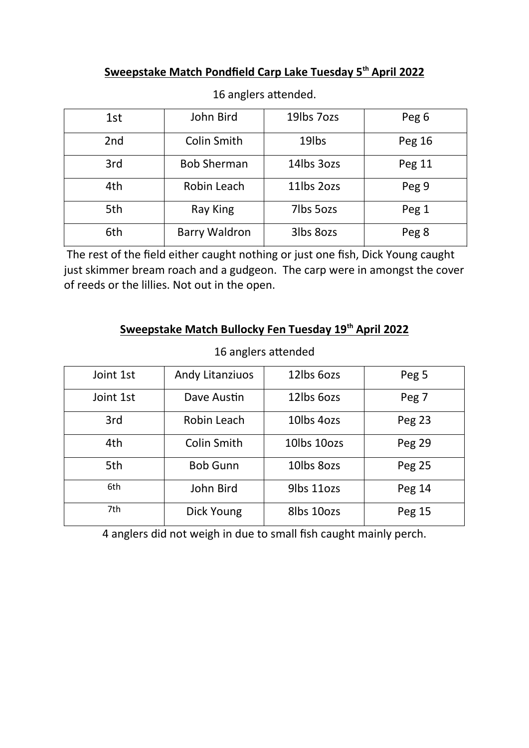### Sweepstake Match Pondfield Carp Lake Tuesday 5<sup>th</sup> April 2022

| 1st             | John Bird            | 19lbs 7ozs | Peg <sub>6</sub> |
|-----------------|----------------------|------------|------------------|
| 2 <sub>nd</sub> | Colin Smith          | 19lbs      | Peg 16           |
| 3rd             | <b>Bob Sherman</b>   | 14lbs 3ozs | Peg 11           |
| 4th             | Robin Leach          | 11lbs 20zs | Peg 9            |
| 5th             | Ray King             | 7lbs 5ozs  | Peg 1            |
| 6th             | <b>Barry Waldron</b> | 3lbs 80zs  | Peg 8            |

16 anglers attended.

 The rest of the field either caught nothing or just one fish, Dick Young caught just skimmer bream roach and a gudgeon. The carp were in amongst the cover of reeds or the lillies. Not out in the open.

### Sweepstake Match Bullocky Fen Tuesday 19<sup>th</sup> April 2022

| Joint 1st | <b>Andy Litanziuos</b> | 12lbs 60zs                          | Peg 5         |
|-----------|------------------------|-------------------------------------|---------------|
| Joint 1st | Dave Austin            | 12lbs 60zs                          | Peg 7         |
| 3rd       | Robin Leach            | 10 <sub>l</sub> bs 4 <sub>ozs</sub> | <b>Peg 23</b> |
| 4th       | Colin Smith            | 10lbs 10ozs                         | Peg 29        |
| 5th       | <b>Bob Gunn</b>        | 10lbs 80zs                          | Peg 25        |
| 6th       | John Bird              | 9lbs 11ozs                          | Peg 14        |
| 7th       | Dick Young             | 8lbs 10ozs                          | Peg 15        |

### 16 anglers attended

4 anglers did not weigh in due to small fish caught mainly perch.